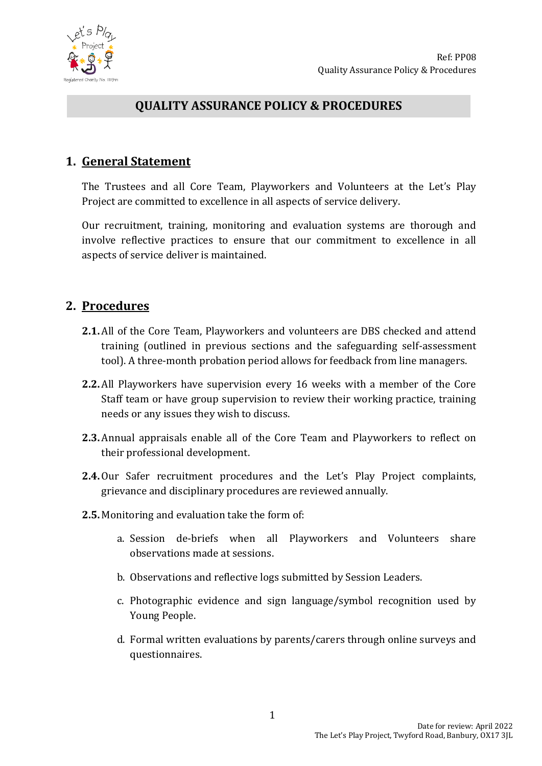

### **QUALITY ASSURANCE POLICY & PROCEDURES**

### **1. General Statement**

The Trustees and all Core Team, Playworkers and Volunteers at the Let's Play Project are committed to excellence in all aspects of service delivery.

Our recruitment, training, monitoring and evaluation systems are thorough and involve reflective practices to ensure that our commitment to excellence in all aspects of service deliver is maintained.

### **2. Procedures**

- **2.1.** All of the Core Team, Playworkers and volunteers are DBS checked and attend training (outlined in previous sections and the safeguarding self-assessment tool). A three-month probation period allows for feedback from line managers.
- **2.2.** All Playworkers have supervision every 16 weeks with a member of the Core Staff team or have group supervision to review their working practice, training needs or any issues they wish to discuss.
- **2.3.** Annual appraisals enable all of the Core Team and Playworkers to reflect on their professional development.
- **2.4.**Our Safer recruitment procedures and the Let's Play Project complaints, grievance and disciplinary procedures are reviewed annually.
- **2.5.** Monitoring and evaluation take the form of:
	- a. Session de-briefs when all Playworkers and Volunteers share observations made at sessions.
	- b. Observations and reflective logs submitted by Session Leaders.
	- c. Photographic evidence and sign language/symbol recognition used by Young People.
	- d. Formal written evaluations by parents/carers through online surveys and questionnaires.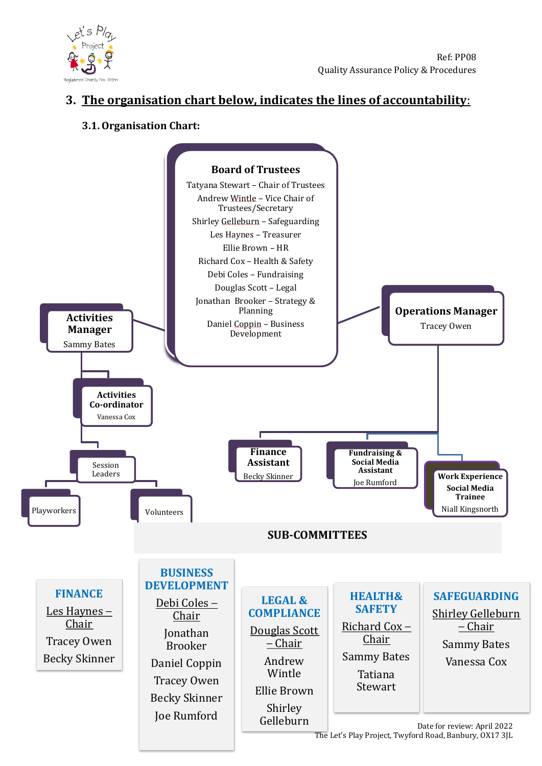

# **3. The organisation chart below, indicates the lines of accountability**:

### **3.1.Organisation Chart:**



The Let's Play Project, Twyford Road, Banbury, OX17 3JL